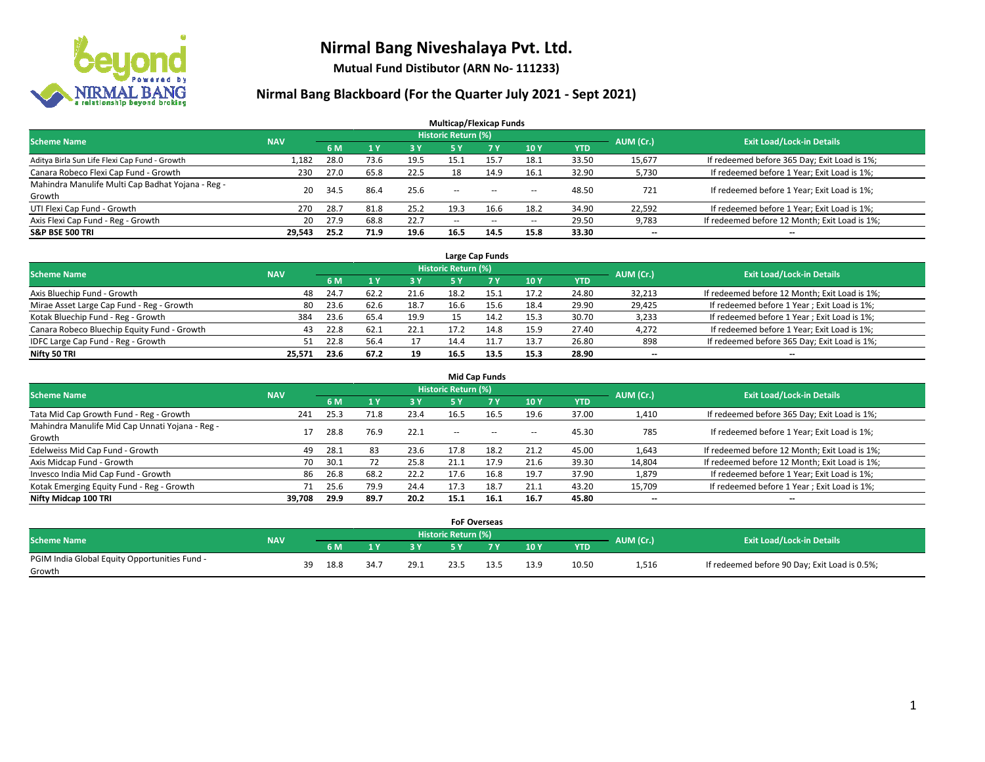

**Mutual Fund Distibutor (ARN No- 111233)**

| <b>Multicap/Flexicap Funds</b>                    |            |      |           |           |                            |                                                |            |            |           |                                               |  |  |  |
|---------------------------------------------------|------------|------|-----------|-----------|----------------------------|------------------------------------------------|------------|------------|-----------|-----------------------------------------------|--|--|--|
| <b>Scheme Name</b>                                | <b>NAV</b> |      |           |           | <b>Historic Return (%)</b> |                                                |            |            | AUM (Cr.) | <b>Exit Load/Lock-in Details</b>              |  |  |  |
|                                                   |            | 6 M  | <b>1Y</b> | <b>3Y</b> | 5 Y                        | <b>7 Y</b>                                     | <b>10Y</b> | <b>YTD</b> |           |                                               |  |  |  |
| Aditya Birla Sun Life Flexi Cap Fund - Growth     | 1,182      | 28.0 | 73.6      | 19.5      | 15.1                       | 15.7                                           | 18.1       | 33.50      | 15,677    | If redeemed before 365 Day; Exit Load is 1%;  |  |  |  |
| Canara Robeco Flexi Cap Fund - Growth             | 230        | 27.0 | 65.8      | 22.5      | 18                         | 14.9                                           | 16.1       | 32.90      | 5,730     | If redeemed before 1 Year; Exit Load is 1%;   |  |  |  |
| Mahindra Manulife Multi Cap Badhat Yojana - Reg - | 20         | 34.5 | 86.4      | 25.6      | $\overline{\phantom{a}}$   | $\hspace{0.1mm}-\hspace{0.1mm}-\hspace{0.1mm}$ |            | 48.50      | 721       | If redeemed before 1 Year; Exit Load is 1%;   |  |  |  |
| Growth                                            |            |      |           |           |                            |                                                | --         |            |           |                                               |  |  |  |
| UTI Flexi Cap Fund - Growth                       | 270        | 28.7 | 81.8      | 25.2      | 19.3                       | 16.6                                           | 18.2       | 34.90      | 22,592    | If redeemed before 1 Year; Exit Load is 1%;   |  |  |  |
| Axis Flexi Cap Fund - Reg - Growth                | 20         | 27.9 | 68.8      | 22.7      | $\overline{\phantom{a}}$   | $\sim$                                         | --         | 29.50      | 9,783     | If redeemed before 12 Month; Exit Load is 1%; |  |  |  |
| <b>S&amp;P BSE 500 TRI</b>                        | 29,543     | 25.2 | 71.9      | 19.6      | 16.5                       | 14.5                                           | 15.8       | 33.30      | --        | $\overline{\phantom{a}}$                      |  |  |  |

| Large Cap Funds                             |            |           |                                  |      |      |            |      |            |        |                                               |  |  |  |
|---------------------------------------------|------------|-----------|----------------------------------|------|------|------------|------|------------|--------|-----------------------------------------------|--|--|--|
| <b>Scheme Name</b>                          | <b>NAV</b> | AUM (Cr.) | <b>Exit Load/Lock-in Details</b> |      |      |            |      |            |        |                                               |  |  |  |
|                                             |            | 6 M       |                                  | 3 Y  |      | <b>7 Y</b> | 10Y  | <b>YTD</b> |        |                                               |  |  |  |
| Axis Bluechip Fund - Growth                 | 48         | 24.7      | 62.2                             | 21.6 | 18.2 | 15.1       | 17.2 | 24.80      | 32,213 | If redeemed before 12 Month; Exit Load is 1%; |  |  |  |
| Mirae Asset Large Cap Fund - Reg - Growth   | 80         | 23.6      | 62.6                             | 18.7 | 16.6 |            | 18.4 | 29.90      | 29,425 | If redeemed before 1 Year; Exit Load is 1%;   |  |  |  |
| Kotak Bluechip Fund - Reg - Growth          | 384        | 23.6      | -65.4                            | 19.9 |      |            | 15.3 | 30.70      | 3,233  | If redeemed before 1 Year; Exit Load is 1%;   |  |  |  |
| Canara Robeco Bluechip Equity Fund - Growth | 43         | 22.8      | 62.1                             | 22.1 |      | 14.8       | 15.9 | 27.40      | 4,272  | If redeemed before 1 Year; Exit Load is 1%;   |  |  |  |
| IDFC Large Cap Fund - Reg - Growth          | 51         | 22.8      | 56.4                             | 17   | 14.4 |            | 13.7 | 26.80      | 898    | If redeemed before 365 Day; Exit Load is 1%;  |  |  |  |
| Nifty 50 TRI                                | 25.571     | 23.6      | 67.2                             | 19   | 16.5 | 13.5       | 15.3 | 28.90      | $- -$  | $- -$                                         |  |  |  |

| <b>Mid Cap Funds</b>                                      |            |      |      |      |                     |           |                          |       |                          |                                               |  |  |  |
|-----------------------------------------------------------|------------|------|------|------|---------------------|-----------|--------------------------|-------|--------------------------|-----------------------------------------------|--|--|--|
| <b>Scheme Name</b>                                        | <b>NAV</b> |      |      |      | Historic Return (%) |           |                          |       | AUM (Cr.)                | <b>Exit Load/Lock-in Details</b>              |  |  |  |
|                                                           |            | 6 M  |      | 3 Y  | 5 Y                 | <b>7Y</b> | 10Y                      | YTD   |                          |                                               |  |  |  |
| Tata Mid Cap Growth Fund - Reg - Growth                   | 241        | 25.3 | 71.8 | 23.4 | 16.5                | 16.5      | 19.6                     | 37.00 | 1,410                    | If redeemed before 365 Day; Exit Load is 1%;  |  |  |  |
| Mahindra Manulife Mid Cap Unnati Yojana - Reg -<br>Growth |            | 28.8 | 76.9 | 22.1 | $- -$               | $\sim$    | $\overline{\phantom{a}}$ | 45.30 | 785                      | If redeemed before 1 Year; Exit Load is 1%;   |  |  |  |
| Edelweiss Mid Cap Fund - Growth                           | 49         | 28.1 | 83   | 23.6 | 17.8                | 18.2      | 21.2                     | 45.00 | 1,643                    | If redeemed before 12 Month; Exit Load is 1%; |  |  |  |
| Axis Midcap Fund - Growth                                 | 70         | 30.1 |      | 25.8 | 21.1                | 17.9      | 21.6                     | 39.30 | 14,804                   | If redeemed before 12 Month; Exit Load is 1%; |  |  |  |
| Invesco India Mid Cap Fund - Growth                       | 86         | 26.8 | 68.2 | 22.2 | 17.6                | 16.8      | 19.7                     | 37.90 | 1,879                    | If redeemed before 1 Year; Exit Load is 1%;   |  |  |  |
| Kotak Emerging Equity Fund - Reg - Growth                 | 71         | 25.6 | 79.9 | 24.4 | 17.3                | 18.7      | 21.1                     | 43.20 | 15,709                   | If redeemed before 1 Year; Exit Load is 1%;   |  |  |  |
| Nifty Midcap 100 TRI                                      | 39.708     | 29.9 | 89.7 | 20.2 | 15.1                | 16.1      | 16.7                     | 45.80 | $\overline{\phantom{a}}$ | $-$                                           |  |  |  |

|                                               |            |    |      |      |           |                     | <b>FoF Overseas</b> |      |            |           |                                               |
|-----------------------------------------------|------------|----|------|------|-----------|---------------------|---------------------|------|------------|-----------|-----------------------------------------------|
| Scheme Name                                   | <b>NAV</b> |    |      |      |           | Historic Return (%) |                     |      |            | AUM (Cr.) | <b>Exit Load/Lock-in Details</b>              |
|                                               |            |    | 6 M  | 1 V  | <b>2V</b> |                     | 'י ד                | 10Y  | <b>YTD</b> |           |                                               |
| PGIM India Global Equity Opportunities Fund - |            | 39 | 18.8 | 34.7 | 29.1      | 23.5                |                     | 13.9 | 10.50      | 1,516     | If redeemed before 90 Day; Exit Load is 0.5%; |
| Growth                                        |            |    |      |      |           |                     |                     |      |            |           |                                               |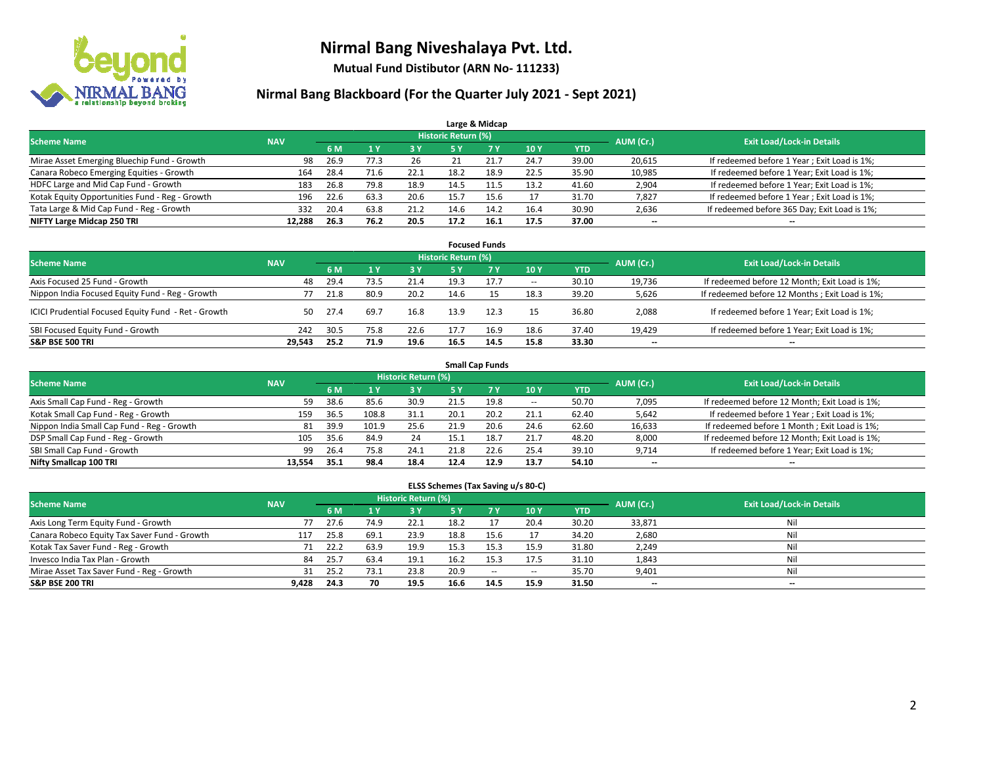

**Mutual Fund Distibutor (ARN No- 111233)**

### **Nirmal Bang Blackboard (For the Quarter July 2021 - Sept 2021)**

| Large & Midcap                                 |            |      |      |      |                            |                |      |            |           |                                              |  |  |  |  |
|------------------------------------------------|------------|------|------|------|----------------------------|----------------|------|------------|-----------|----------------------------------------------|--|--|--|--|
| <b>Scheme Name</b>                             | <b>NAV</b> |      |      |      | <b>Historic Return (%)</b> |                |      |            | AUM (Cr.) | <b>Exit Load/Lock-in Details</b>             |  |  |  |  |
|                                                |            | 6 M  |      | 3 Y  | <b>5 Y</b>                 | 7 <sub>V</sub> | 10Y  | <b>YTD</b> |           |                                              |  |  |  |  |
| Mirae Asset Emerging Bluechip Fund - Growth    | 98         | 26.9 | 77.3 | 26   |                            | 21.7           | 24.7 | 39.00      | 20,615    | If redeemed before 1 Year; Exit Load is 1%;  |  |  |  |  |
| Canara Robeco Emerging Equities - Growth       | 164        | 28.4 | 71.6 | 22.1 | 18.2                       | 18.9           | 22.5 | 35.90      | 10,985    | If redeemed before 1 Year; Exit Load is 1%;  |  |  |  |  |
| HDFC Large and Mid Cap Fund - Growth           | 183        | 26.8 | 79.8 | 18.9 | 14.5                       |                | 13.2 | 41.60      | 2,904     | If redeemed before 1 Year; Exit Load is 1%;  |  |  |  |  |
| Kotak Equity Opportunities Fund - Reg - Growth | 196        | 22.6 | 63.3 | 20.6 | 15.7                       | 15.6           |      | 31.70      | 7,827     | If redeemed before 1 Year; Exit Load is 1%;  |  |  |  |  |
| Tata Large & Mid Cap Fund - Reg - Growth       | 332        | 20.4 | 63.8 | 21.2 | 14.6                       | 14.2           | 16.4 | 30.90      | 2,636     | If redeemed before 365 Day; Exit Load is 1%; |  |  |  |  |
| NIFTY Large Midcap 250 TRI                     | 12.288     | 26.3 | 76.2 | 20.5 | 17.2                       | 16.1           | 17.5 | 37.00      | $- -$     | $\overline{\phantom{a}}$                     |  |  |  |  |

| <b>Focused Funds</b>                                |            |      |      |            |                     |      |                          |       |                          |                                                |  |  |  |
|-----------------------------------------------------|------------|------|------|------------|---------------------|------|--------------------------|-------|--------------------------|------------------------------------------------|--|--|--|
| <b>Scheme Name</b>                                  | <b>NAV</b> |      |      |            | Historic Return (%) |      |                          |       | AUM (Cr.)                | <b>Exit Load/Lock-in Details</b>               |  |  |  |
|                                                     |            | 6 M  |      | <b>3 Y</b> | 5 Y                 | 7 Y  | 10Y                      | YTD   |                          |                                                |  |  |  |
| Axis Focused 25 Fund - Growth                       | 48         | 29.4 | 73.5 | 21.4       | 19.3                | 17.7 | $\overline{\phantom{a}}$ | 30.10 | 19.736                   | If redeemed before 12 Month; Exit Load is 1%;  |  |  |  |
| Nippon India Focused Equity Fund - Reg - Growth     |            | 21.8 | 80.9 | 20.2       | 14.6                |      | 18.3                     | 39.20 | 5,626                    | If redeemed before 12 Months; Exit Load is 1%; |  |  |  |
| ICICI Prudential Focused Equity Fund - Ret - Growth | 50         | 27.4 | 69.7 | 16.8       | 13.9                | 12.3 | 15                       | 36.80 | 2,088                    | If redeemed before 1 Year; Exit Load is 1%;    |  |  |  |
| SBI Focused Equity Fund - Growth                    | 242        | 30.5 | 75.8 | 22.6       | 17.7                | 16.9 | 18.6                     | 37.40 | 19.429                   | If redeemed before 1 Year; Exit Load is 1%;    |  |  |  |
| <b>S&amp;P BSE 500 TRI</b>                          | 29.543     | 25.2 | 71.9 | 19.6       | 16.5                | 14.5 | 15.8                     | 33.30 | $\overline{\phantom{a}}$ | $\overline{\phantom{a}}$                       |  |  |  |

|                                            | <b>Small Cap Funds</b> |           |                                  |      |      |           |            |            |        |                                               |  |  |  |  |  |
|--------------------------------------------|------------------------|-----------|----------------------------------|------|------|-----------|------------|------------|--------|-----------------------------------------------|--|--|--|--|--|
| <b>Scheme Name</b>                         | <b>NAV</b>             | AUM (Cr.) | <b>Exit Load/Lock-in Details</b> |      |      |           |            |            |        |                                               |  |  |  |  |  |
|                                            |                        | 6 M       |                                  | 3 Y  | 5 Y  | <b>7Y</b> | <b>10Y</b> | <b>YTD</b> |        |                                               |  |  |  |  |  |
| Axis Small Cap Fund - Reg - Growth         | 59                     | 38.6      | 85.6                             | 30.9 | 21.5 | 19.8      | $\sim$     | 50.70      | 7,095  | If redeemed before 12 Month; Exit Load is 1%; |  |  |  |  |  |
| Kotak Small Cap Fund - Reg - Growth        | 159                    | 36.5      | 108.8                            | 31.1 | 20.1 | 20.2      | 21.1       | 62.40      | 5,642  | If redeemed before 1 Year; Exit Load is 1%;   |  |  |  |  |  |
| Nippon India Small Cap Fund - Reg - Growth | 81                     | 39.9      | 101.9                            | 25.6 | 21.9 | 20.6      | 24.6       | 62.60      | 16,633 | If redeemed before 1 Month; Exit Load is 1%;  |  |  |  |  |  |
| DSP Small Cap Fund - Reg - Growth          | 105                    | 35.6      | 84.9                             | 24   | 15.1 | 18.7      | 21.7       | 48.20      | 8,000  | If redeemed before 12 Month; Exit Load is 1%; |  |  |  |  |  |
| SBI Small Cap Fund - Growth                | 99                     | 26.4      | 75.8                             | 24.1 | 21.8 | 22.6      | 25.4       | 39.10      | 9,714  | If redeemed before 1 Year; Exit Load is 1%;   |  |  |  |  |  |
| Nifty Smallcap 100 TRI                     | 13.554                 | 35.1      | 98.4                             | 18.4 | 12.4 | 12.9      | 13.7       | 54.10      | --     | $\overline{\phantom{a}}$                      |  |  |  |  |  |

#### **ELSS Schemes (Tax Saving u/s 80-C)**

| <b>Scheme Name</b>                           | <b>NAV</b> |      |      | Historic Return (%) |      |           |            |            | AUM (Cr.) | <b>Exit Load/Lock-in Details</b> |
|----------------------------------------------|------------|------|------|---------------------|------|-----------|------------|------------|-----------|----------------------------------|
|                                              |            | 6 M  |      | <b>3Y</b>           | 5 Y  | <b>7Y</b> | <b>10Y</b> | <b>YTD</b> |           |                                  |
| Axis Long Term Equity Fund - Growth          |            | 27.6 | 74.9 | 22.1                | 18.2 |           | 20.4       | 30.20      | 33,871    | Nil                              |
| Canara Robeco Equity Tax Saver Fund - Growth | 117        | 25.8 | 69.1 | 23.9                | 18.8 | 15.6      |            | 34.20      | 2,680     | Nil                              |
| Kotak Tax Saver Fund - Reg - Growth          |            | 22.2 | 63.9 | 19.9                | 15.3 | 15.3      | 15.9       | 31.80      | 2,249     | Nil                              |
| Invesco India Tax Plan - Growth              | 84         | 25.7 | 63.4 | 19.1                | 16.2 | 15.3      | 17.5       | 31.10      | 1,843     | Nil                              |
| Mirae Asset Tax Saver Fund - Reg - Growth    | 31         | 25.2 | 73.1 | 23.8                | 20.9 | $\sim$    | $\!-$      | 35.70      | 9,401     | Nil                              |
| <b>S&amp;P BSE 200 TRI</b>                   | 9.428      | 24.3 | 70   | 19.5                | 16.6 | 14.5      | 15.9       | 31.50      | $- -$     | --                               |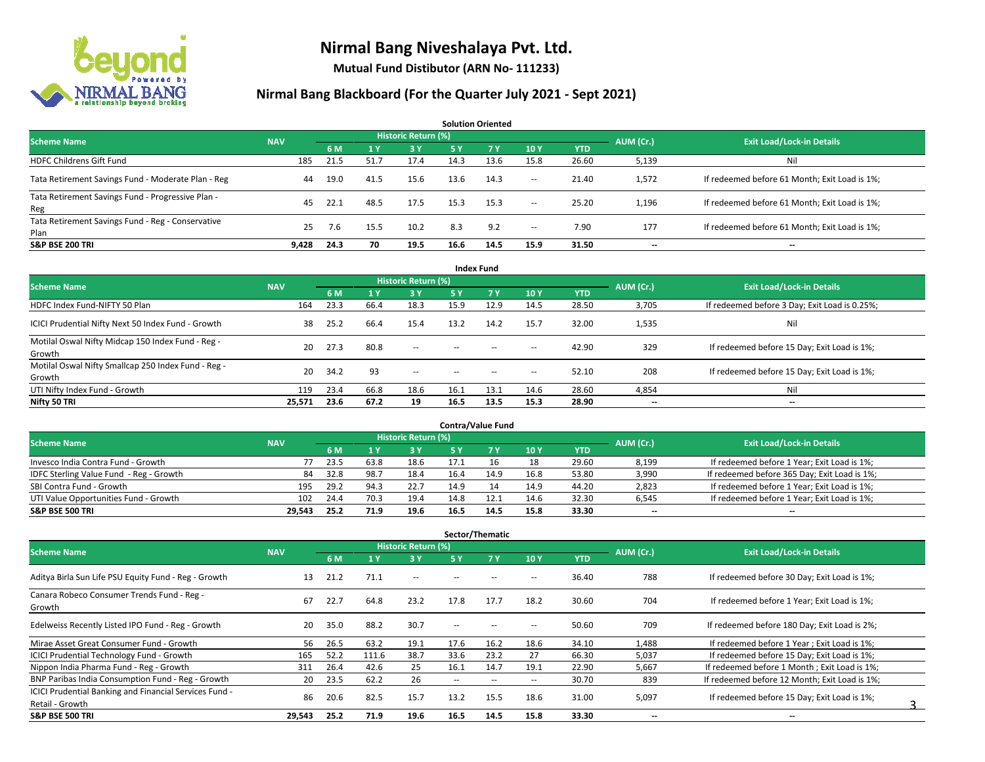

**Mutual Fund Distibutor (ARN No- 111233)**

| <b>Solution Oriented</b>                                  |            |      |      |                            |      |      |                          |            |                          |                                               |  |  |  |
|-----------------------------------------------------------|------------|------|------|----------------------------|------|------|--------------------------|------------|--------------------------|-----------------------------------------------|--|--|--|
| <b>Scheme Name</b>                                        | <b>NAV</b> |      |      | <b>Historic Return (%)</b> |      |      |                          |            |                          | <b>Exit Load/Lock-in Details</b>              |  |  |  |
|                                                           |            | 6 M  | 1 Y  | '3V                        | 5 Y  | 7Y   | 10Y                      | <b>YTD</b> | AUM (Cr.)                |                                               |  |  |  |
| <b>HDFC Childrens Gift Fund</b>                           | 185        | 21.5 | 51.7 | 17.4                       | 14.3 | 13.6 | 15.8                     | 26.60      | 5,139                    | Nil                                           |  |  |  |
| Tata Retirement Savings Fund - Moderate Plan - Reg        | 44         | 19.0 | 41.5 | 15.6                       | 13.6 | 14.3 | $\overline{\phantom{a}}$ | 21.40      | 1,572                    | If redeemed before 61 Month; Exit Load is 1%; |  |  |  |
| Tata Retirement Savings Fund - Progressive Plan -<br>Reg  | 45         | 22.1 | 48.5 | 17.5                       | 15.3 | 15.3 | $\sim$                   | 25.20      | 1,196                    | If redeemed before 61 Month; Exit Load is 1%; |  |  |  |
| Tata Retirement Savings Fund - Reg - Conservative<br>Plan | 25         | 7.6  | 15.5 | 10.2                       | 8.3  | 9.2  | $\sim$                   | 7.90       | 177                      | If redeemed before 61 Month; Exit Load is 1%; |  |  |  |
| <b>S&amp;P BSE 200 TRI</b>                                | 9.428      | 24.3 | 70   | 19.5                       | 16.6 | 14.5 | 15.9                     | 31.50      | $\overline{\phantom{a}}$ | $- -$                                         |  |  |  |

| <b>Index Fund</b>                                             |            |      |      |                            |        |                                                |                          |            |                          |                                               |  |  |  |  |
|---------------------------------------------------------------|------------|------|------|----------------------------|--------|------------------------------------------------|--------------------------|------------|--------------------------|-----------------------------------------------|--|--|--|--|
| <b>Scheme Name</b>                                            | <b>NAV</b> |      |      | <b>Historic Return (%)</b> |        |                                                |                          |            | AUM (Cr.)                | <b>Exit Load/Lock-in Details</b>              |  |  |  |  |
|                                                               |            | 6 M  | 71 Y | 3Y                         | 5 Y    | 7V                                             | 10Y                      | <b>YTD</b> |                          |                                               |  |  |  |  |
| HDFC Index Fund-NIFTY 50 Plan                                 | 164        | 23.3 | 66.4 | 18.3                       | 15.9   | 12.9                                           | 14.5                     | 28.50      | 3,705                    | If redeemed before 3 Day; Exit Load is 0.25%; |  |  |  |  |
| ICICI Prudential Nifty Next 50 Index Fund - Growth            | 38         | 25.2 | 66.4 | 15.4                       | 13.2   | 14.2                                           | 15.7                     | 32.00      | 1,535                    | Nil                                           |  |  |  |  |
| Motilal Oswal Nifty Midcap 150 Index Fund - Reg -<br>Growth   | 20         | 27.3 | 80.8 | $\sim$                     | $-$    | $- -$                                          | $\overline{\phantom{a}}$ | 42.90      | 329                      | If redeemed before 15 Day; Exit Load is 1%;   |  |  |  |  |
| Motilal Oswal Nifty Smallcap 250 Index Fund - Reg -<br>Growth | 20         | 34.2 | 93   | $\sim$                     | $\sim$ | $\hspace{0.1mm}-\hspace{0.1mm}-\hspace{0.1mm}$ | $\hspace{0.05cm} \cdots$ | 52.10      | 208                      | If redeemed before 15 Day; Exit Load is 1%;   |  |  |  |  |
| UTI Nifty Index Fund - Growth                                 | 119        | 23.4 | 66.8 | 18.6                       | 16.1   | 13.1                                           | 14.6                     | 28.60      | 4,854                    | Nil                                           |  |  |  |  |
| Nifty 50 TRI                                                  | 25,571     | 23.6 | 67.2 | 19                         | 16.5   | 13.5                                           | 15.3                     | 28.90      | $\overline{\phantom{a}}$ | $\overline{\phantom{a}}$                      |  |  |  |  |

| <b>Contra/Value Fund</b>                |            |                                  |      |      |      |      |      |       |       |                                              |  |  |  |
|-----------------------------------------|------------|----------------------------------|------|------|------|------|------|-------|-------|----------------------------------------------|--|--|--|
| <b>Scheme Name</b>                      | AUM (Cr.)  | <b>Exit Load/Lock-in Details</b> |      |      |      |      |      |       |       |                                              |  |  |  |
|                                         | <b>NAV</b> | 6 M                              |      | 3 Y  |      |      | 10Y  | YTD   |       |                                              |  |  |  |
| Invesco India Contra Fund - Growth      |            | 23.5                             | 63.8 | 18.6 |      |      | 18   | 29.60 | 8,199 | If redeemed before 1 Year; Exit Load is 1%;  |  |  |  |
| IDFC Sterling Value Fund - Reg - Growth | 84         | 32.8                             | 98.  | 18.4 | 16.4 | 14.9 | 16.8 | 53.80 | 3,990 | If redeemed before 365 Day; Exit Load is 1%; |  |  |  |
| SBI Contra Fund - Growth                | 195        | 29.2                             | 94.3 | 22.7 | 14.9 |      | 14.9 | 44.20 | 2,823 | If redeemed before 1 Year; Exit Load is 1%;  |  |  |  |
| UTI Value Opportunities Fund - Growth   | 102        | 24.4                             | 70.3 | 19.4 | 14.8 | 12.1 | 14.6 | 32.30 | 6,545 | If redeemed before 1 Year; Exit Load is 1%;  |  |  |  |
| <b>S&amp;P BSE 500 TRI</b>              | 29.543     | 25.2                             | 71.9 | 19.6 | 16.5 | 14.5 | 15.8 | 33.30 | $- -$ | $-$                                          |  |  |  |

| Sector/Thematic                                                           |            |      |       |                            |                          |                          |                          |            |                          |                                               |  |  |  |
|---------------------------------------------------------------------------|------------|------|-------|----------------------------|--------------------------|--------------------------|--------------------------|------------|--------------------------|-----------------------------------------------|--|--|--|
| <b>Scheme Name</b>                                                        | <b>NAV</b> |      |       | <b>Historic Return (%)</b> |                          |                          |                          |            | AUM (Cr.)                | <b>Exit Load/Lock-in Details</b>              |  |  |  |
|                                                                           |            | 6 M  | 1 Y   | <b>3Y</b>                  | 5 Y                      | <b>7Y</b>                | 10Y                      | <b>YTD</b> |                          |                                               |  |  |  |
| Aditya Birla Sun Life PSU Equity Fund - Reg - Growth                      | 13         | 21.2 | 71.1  | $\sim$                     | $\overline{\phantom{a}}$ |                          | $\hspace{0.05cm} \cdots$ | 36.40      | 788                      | If redeemed before 30 Day; Exit Load is 1%;   |  |  |  |
| Canara Robeco Consumer Trends Fund - Reg -<br>Growth                      | 67         | 22.7 | 64.8  | 23.2                       | 17.8                     | 17.7                     | 18.2                     | 30.60      | 704                      | If redeemed before 1 Year; Exit Load is 1%;   |  |  |  |
| Edelweiss Recently Listed IPO Fund - Reg - Growth                         | 20         | 35.0 | 88.2  | 30.7                       | $\overline{\phantom{a}}$ | $\overline{\phantom{m}}$ | $\hspace{0.05cm} \cdots$ | 50.60      | 709                      | If redeemed before 180 Day; Exit Load is 2%;  |  |  |  |
| Mirae Asset Great Consumer Fund - Growth                                  | 56         | 26.5 | 63.2  | 19.1                       | 17.6                     | 16.2                     | 18.6                     | 34.10      | 1,488                    | If redeemed before 1 Year; Exit Load is 1%;   |  |  |  |
| <b>ICICI Prudential Technology Fund - Growth</b>                          | 165        | 52.2 | 111.6 | 38.7                       | 33.6                     | 23.2                     | 27                       | 66.30      | 5,037                    | If redeemed before 15 Day; Exit Load is 1%;   |  |  |  |
| Nippon India Pharma Fund - Reg - Growth                                   | 311        | 26.4 | 42.6  | 25                         | 16.1                     | 14.7                     | 19.1                     | 22.90      | 5,667                    | If redeemed before 1 Month; Exit Load is 1%;  |  |  |  |
| BNP Paribas India Consumption Fund - Reg - Growth                         | 20         | 23.5 | 62.2  | 26                         | $\sim$                   | $\overline{\phantom{a}}$ | $\hspace{0.05cm} \cdots$ | 30.70      | 839                      | If redeemed before 12 Month; Exit Load is 1%; |  |  |  |
| ICICI Prudential Banking and Financial Services Fund -<br>Retail - Growth | 86         | 20.6 | 82.5  | 15.7                       | 13.2                     | 15.5                     | 18.6                     | 31.00      | 5,097                    | If redeemed before 15 Day; Exit Load is 1%;   |  |  |  |
| <b>S&amp;P BSE 500 TRI</b>                                                | 29,543     | 25.2 | 71.9  | 19.6                       | 16.5                     | 14.5                     | 15.8                     | 33.30      | $\overline{\phantom{a}}$ | $\overline{\phantom{a}}$                      |  |  |  |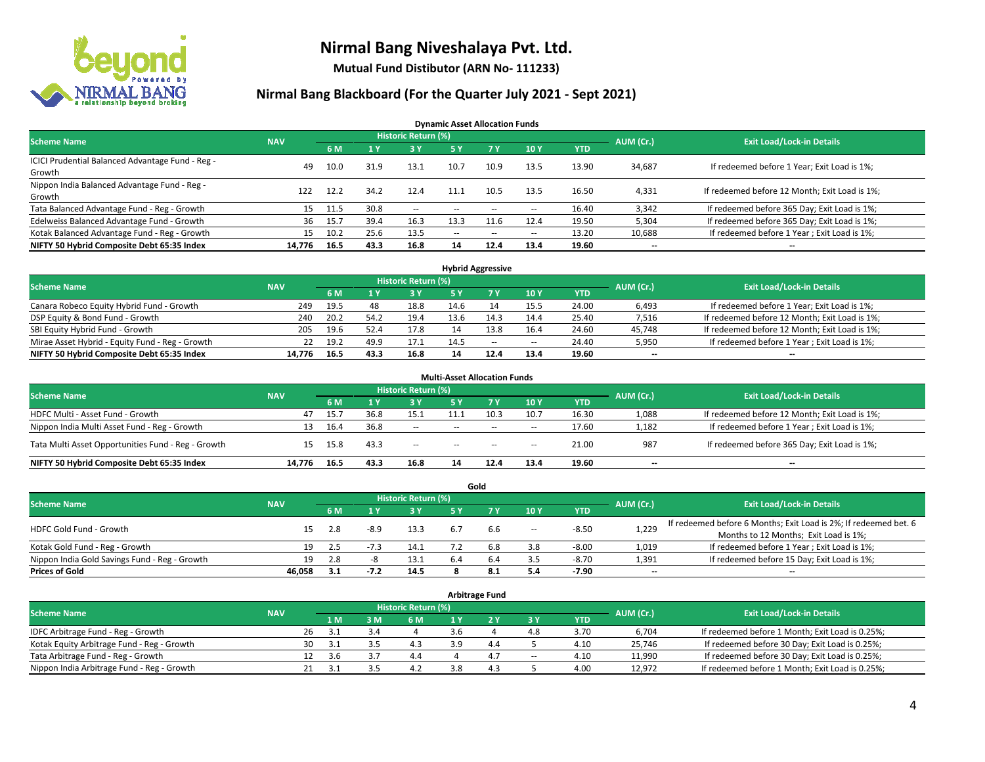

**Mutual Fund Distibutor (ARN No- 111233)**

### **Nirmal Bang Blackboard (For the Quarter July 2021 - Sept 2021)**

**Dynamic Asset Allocation Funds**

| <b>Scheme Name</b>                                         | <b>NAV</b> |      |      | <b>Historic Return (%)</b> |        |                          |                          |       | AUM (Cr.)                | <b>Exit Load/Lock-in Details</b>              |
|------------------------------------------------------------|------------|------|------|----------------------------|--------|--------------------------|--------------------------|-------|--------------------------|-----------------------------------------------|
|                                                            |            | 6 M  |      | <b>3Y</b>                  | 5 Y    | <b>7Y</b>                | 10Y                      | YTD   |                          |                                               |
| ICICI Prudential Balanced Advantage Fund - Reg -<br>Growth | 49         | 10.0 | 31.9 | 13.1                       | 10.7   | 10.9                     | 13.5                     | 13.90 | 34,687                   | If redeemed before 1 Year; Exit Load is 1%;   |
| Nippon India Balanced Advantage Fund - Reg -<br>Growth     | 122        | 12.2 | 34.2 | 12.4                       | 11.1   | 10.5                     | 13.5                     | 16.50 | 4,331                    | If redeemed before 12 Month; Exit Load is 1%; |
| Tata Balanced Advantage Fund - Reg - Growth                | 15         | 11.5 | 30.8 | $\sim$                     | $-$    | $\overline{\phantom{a}}$ | $\overline{\phantom{a}}$ | 16.40 | 3,342                    | If redeemed before 365 Day; Exit Load is 1%;  |
| Edelweiss Balanced Advantage Fund - Growth                 | 36         | 15.7 | 39.4 | 16.3                       | 13.3   |                          | 12.4                     | 19.50 | 5,304                    | If redeemed before 365 Day; Exit Load is 1%;  |
| Kotak Balanced Advantage Fund - Reg - Growth               | 15         | 10.2 | 25.6 | 13.5                       | $\sim$ | $\overline{\phantom{a}}$ | $\hspace{0.05cm} \cdots$ | 13.20 | 10,688                   | If redeemed before 1 Year; Exit Load is 1%;   |
| NIFTY 50 Hybrid Composite Debt 65:35 Index                 | 14.776     | 16.5 | 43.3 | 16.8                       | 14     | 12.4                     | 13.4                     | 19.60 | $\overline{\phantom{a}}$ | --                                            |

| <b>Hybrid Aggressive</b>                        |            |            |      |                            |      |      |        |            |           |                                               |  |  |  |
|-------------------------------------------------|------------|------------|------|----------------------------|------|------|--------|------------|-----------|-----------------------------------------------|--|--|--|
| <b>Scheme Name</b>                              | <b>NAV</b> |            |      | <b>Historic Return (%)</b> |      |      |        |            | AUM (Cr.) | <b>Exit Load/Lock-in Details</b>              |  |  |  |
|                                                 |            | 6 M        |      | 3 Y                        |      |      | 10Y    | <b>YTD</b> |           |                                               |  |  |  |
| Canara Robeco Equity Hybrid Fund - Growth       | 249        | 19.5       | 48   | 18.8                       | 14.6 |      | 15.5   | 24.00      | 6,493     | If redeemed before 1 Year; Exit Load is 1%;   |  |  |  |
| DSP Equity & Bond Fund - Growth                 | 240        | 20.2       | 54.2 | 19.4                       | 13.6 |      | 14.4   | 25.40      | 7,516     | If redeemed before 12 Month; Exit Load is 1%; |  |  |  |
| SBI Equity Hybrid Fund - Growth                 | 205        | 19.6       | 52.4 | 17.8                       |      | 13.8 | 16.4   | 24.60      | 45,748    | If redeemed before 12 Month; Exit Load is 1%; |  |  |  |
| Mirae Asset Hybrid - Equity Fund - Reg - Growth |            | 19.2<br>22 | 49.9 | 17.1                       | 14.5 | $-$  | $\sim$ | 24.40      | 5,950     | If redeemed before 1 Year; Exit Load is 1%;   |  |  |  |
| NIFTY 50 Hybrid Composite Debt 65:35 Index      | 14.776     | 16.5       | 43.3 | 16.8                       | 14   | 12.4 | 13.4   | 19.60      | $- -$     | $- -$                                         |  |  |  |

| <b>Multi-Asset Allocation Funds</b><br><b>Historic Return (%)</b> |            |      |      |        |     |        |        |            |                          |                                               |  |  |  |  |
|-------------------------------------------------------------------|------------|------|------|--------|-----|--------|--------|------------|--------------------------|-----------------------------------------------|--|--|--|--|
| <b>Scheme Name</b>                                                | <b>NAV</b> | 6 M  |      | 73 Y   | 5 Y |        | 10Y    | <b>YTD</b> | AUM (Cr.)                | <b>Exit Load/Lock-in Details</b>              |  |  |  |  |
| HDFC Multi - Asset Fund - Growth                                  | 47         | 15.7 | 36.8 | 15.1   |     | 10.3   | 10.7   | 16.30      | 1,088                    | If redeemed before 12 Month; Exit Load is 1%; |  |  |  |  |
| Nippon India Multi Asset Fund - Reg - Growth                      | 13         | 16.4 | 36.8 | $\sim$ | $-$ | $- -$  | $\sim$ | 17.60      | 1,182                    | If redeemed before 1 Year; Exit Load is 1%;   |  |  |  |  |
| Tata Multi Asset Opportunities Fund - Reg - Growth                | 15         | 15.8 | 43.3 | $\sim$ | $-$ | $\sim$ | -      | 21.00      | 987                      | If redeemed before 365 Day; Exit Load is 1%;  |  |  |  |  |
| NIFTY 50 Hybrid Composite Debt 65:35 Index                        | 14.776     | 16.5 | 43.3 | 16.8   | 14  | 12.4   | 13.4   | 19.60      | $\overline{\phantom{a}}$ | --                                            |  |  |  |  |

|                                               |            |           |           |                                  |     | Gold |        |            |       |                                                                  |
|-----------------------------------------------|------------|-----------|-----------|----------------------------------|-----|------|--------|------------|-------|------------------------------------------------------------------|
| <b>Scheme Name</b>                            | <b>NAV</b> |           | AUM (Cr.) | <b>Exit Load/Lock-in Details</b> |     |      |        |            |       |                                                                  |
|                                               |            | 6 M       |           | 73 Y.                            |     |      | 10Y    | <b>YTD</b> |       |                                                                  |
| HDFC Gold Fund - Growth                       |            | 2.8       | $-8.9$    | 13.3                             | 6.7 | b.b  | $\sim$ | $-8.50$    | 1,229 | If redeemed before 6 Months; Exit Load is 2%; If redeemed bet. 6 |
|                                               |            |           |           |                                  |     |      |        |            |       | Months to 12 Months; Exit Load is 1%;                            |
| Kotak Gold Fund - Reg - Growth                |            | 19        |           | 14.1                             |     |      | 3.8    | $-8.00$    | 1,019 | If redeemed before 1 Year; Exit Load is 1%;                      |
| Nippon India Gold Savings Fund - Reg - Growth |            | 19<br>2.8 |           | 13.1                             |     | 6.4  | 3.5    | $-8.70$    | 1,391 | If redeemed before 15 Day; Exit Load is 1%;                      |
| <b>Prices of Gold</b>                         | 46.058     | 3.1       | $-7.2$    | 14.5                             |     |      | 5.4    | $-7.90$    | $- -$ | $\overline{\phantom{a}}$                                         |

| <b>Arbitrage Fund</b>                      |            |           |                                  |     |     |  |     |        |            |        |                                                 |  |  |
|--------------------------------------------|------------|-----------|----------------------------------|-----|-----|--|-----|--------|------------|--------|-------------------------------------------------|--|--|
| <b>Scheme Name</b>                         | <b>NAV</b> | AUM (Cr.) | <b>Exit Load/Lock-in Details</b> |     |     |  |     |        |            |        |                                                 |  |  |
|                                            |            |           | 1 M                              | 3 M | 6 M |  |     | 3Y     | <b>YTD</b> |        |                                                 |  |  |
| IDFC Arbitrage Fund - Reg - Growth         |            | 26        | 3.1                              |     |     |  |     | 4.8    | 3.70       | 6.704  | If redeemed before 1 Month; Exit Load is 0.25%; |  |  |
| Kotak Equity Arbitrage Fund - Reg - Growth |            | 30        | -3.1                             |     | 4.3 |  | 4.4 |        | 4.10       | 25.746 | If redeemed before 30 Day; Exit Load is 0.25%;  |  |  |
| Tata Arbitrage Fund - Reg - Growth         |            |           | .3.b                             | 3.  | 4.4 |  | 4.7 | $\sim$ | 4.10       | 11,990 | If redeemed before 30 Day; Exit Load is 0.25%;  |  |  |
| Nippon India Arbitrage Fund - Reg - Growth |            |           | 3.1                              |     | 4.2 |  | 4   |        | 4.00       | 12.972 | If redeemed before 1 Month; Exit Load is 0.25%; |  |  |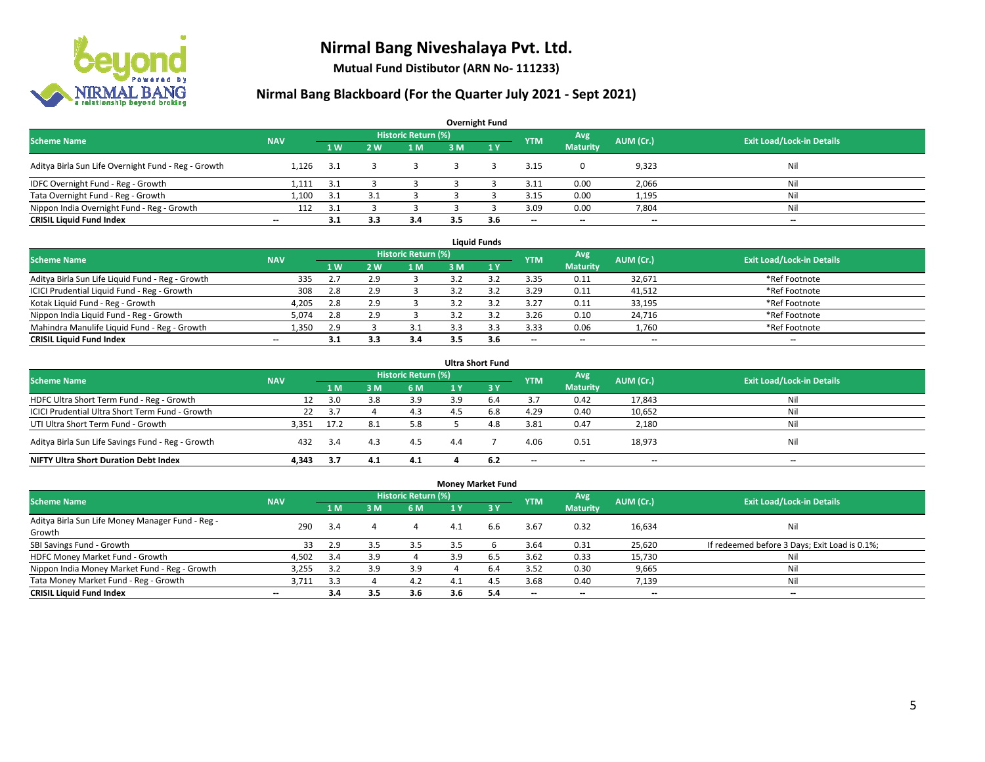

**Mutual Fund Distibutor (ARN No- 111233)**

| <b>Overnight Fund</b>                               |                          |      |     |                            |     |     |            |                 |           |                                  |  |  |  |  |
|-----------------------------------------------------|--------------------------|------|-----|----------------------------|-----|-----|------------|-----------------|-----------|----------------------------------|--|--|--|--|
| <b>Scheme Name</b>                                  | <b>NAV</b>               |      |     | <b>Historic Return (%)</b> |     |     | <b>YTM</b> | Avg             | AUM (Cr.) | <b>Exit Load/Lock-in Details</b> |  |  |  |  |
|                                                     |                          | 1W   | 2 W | 1 <sub>M</sub>             | 3M  | 1Y  |            | <b>Maturity</b> |           |                                  |  |  |  |  |
| Aditya Birla Sun Life Overnight Fund - Reg - Growth | 1.126                    | -3.1 |     |                            |     |     | 3.15       | 0               | 9,323     | Nil                              |  |  |  |  |
| IDFC Overnight Fund - Reg - Growth                  | 1,111                    | -3.1 |     |                            |     |     | 3.11       | 0.00            | 2,066     | Nil                              |  |  |  |  |
| Tata Overnight Fund - Reg - Growth                  | 1,100                    | 3.1  |     |                            |     |     | 3.15       | 0.00            | 1,195     | Nil                              |  |  |  |  |
| Nippon India Overnight Fund - Reg - Growth          | 112                      | 3.1  |     |                            |     |     | 3.09       | 0.00            | 7,804     | Nil                              |  |  |  |  |
| <b>CRISIL Liquid Fund Index</b>                     | $\overline{\phantom{a}}$ | 3.1  | 3.3 | 3.4                        | 3.5 | 3.6 | $- -$      | $- -$           | $- -$     | $\overline{\phantom{a}}$         |  |  |  |  |

| <b>Liquid Funds</b>                              |            |     |     |                     |     |     |                          |                          |           |                                  |  |  |  |
|--------------------------------------------------|------------|-----|-----|---------------------|-----|-----|--------------------------|--------------------------|-----------|----------------------------------|--|--|--|
| <b>Scheme Name</b>                               | <b>NAV</b> |     |     | Historic Return (%) |     |     | <b>YTM</b>               | Avg                      | AUM (Cr.) | <b>Exit Load/Lock-in Details</b> |  |  |  |
|                                                  |            | 1W  | 2 W | 1 M                 | зM  |     |                          | <b>Maturity</b>          |           |                                  |  |  |  |
| Aditya Birla Sun Life Liquid Fund - Reg - Growth | 335        |     | 2.9 |                     |     |     | 3.35                     | 0.11                     | 32.671    | *Ref Footnote                    |  |  |  |
| ICICI Prudential Liquid Fund - Reg - Growth      | 308        | 2.8 | 2.9 |                     |     |     | 3.29                     | 0.11                     | 41,512    | *Ref Footnote                    |  |  |  |
| Kotak Liquid Fund - Reg - Growth                 | 4,205      | 2.8 | 2.9 |                     |     |     | 3.27                     | 0.11                     | 33,195    | *Ref Footnote                    |  |  |  |
| Nippon India Liquid Fund - Reg - Growth          | 5,074      | 2.8 | 2.9 |                     |     |     | 3.26                     | 0.10                     | 24,716    | *Ref Footnote                    |  |  |  |
| Mahindra Manulife Liquid Fund - Reg - Growth     | 1.350      | 2.9 |     |                     |     |     | 3.33                     | 0.06                     | 1,760     | *Ref Footnote                    |  |  |  |
| <b>CRISIL Liquid Fund Index</b>                  | $- -$      | 3.1 | 3.3 | 3.4                 | 3.5 | 3.6 | $\overline{\phantom{a}}$ | $\overline{\phantom{a}}$ | $- -$     | $\overline{\phantom{a}}$         |  |  |  |

|                                                   |            |      |      |                            |     | <b>Ultra Short Fund</b> |                          |                          |           |                                  |
|---------------------------------------------------|------------|------|------|----------------------------|-----|-------------------------|--------------------------|--------------------------|-----------|----------------------------------|
| <b>Scheme Name</b>                                | <b>NAV</b> |      |      | <b>Historic Return (%)</b> |     |                         | <b>YTM</b>               | Avg                      | AUM (Cr.) | <b>Exit Load/Lock-in Details</b> |
|                                                   |            | 1 M  | 3 M  | 6 M                        | 1 Y | $\sqrt{3}$ Y            |                          | <b>Maturity</b>          |           |                                  |
| HDFC Ultra Short Term Fund - Reg - Growth         | 12         | 3.0  | 3.8  | 3.9                        |     | b.4                     | 3.7                      | 0.42                     | 17,843    | Nil                              |
| ICICI Prudential Ultra Short Term Fund - Growth   | 22         | -3.7 |      | 4.3                        | 4.5 | 6.8                     | 4.29                     | 0.40                     | 10,652    | Nil                              |
| UTI Ultra Short Term Fund - Growth                | 3.351      | 17.2 | -8.1 | 5.8                        |     | 4.8                     | 3.81                     | 0.47                     | 2,180     | Nil                              |
| Aditya Birla Sun Life Savings Fund - Reg - Growth | 432        | 3.4  | 4.3  | 4.5                        | 4.4 |                         | 4.06                     | 0.51                     | 18,973    | Nil                              |
| <b>NIFTY Ultra Short Duration Debt Index</b>      | 4.343      | 3.7  | 4.1  | 4.1                        |     | 6.2                     | $\overline{\phantom{a}}$ | $\overline{\phantom{a}}$ | --        | $-$                              |

|                                                  |                          |     |     |                     | <b>Money Market Fund</b> |              |                          |                          |                          |                                               |
|--------------------------------------------------|--------------------------|-----|-----|---------------------|--------------------------|--------------|--------------------------|--------------------------|--------------------------|-----------------------------------------------|
| <b>Scheme Name</b>                               | <b>NAV</b>               |     |     | Historic Return (%) |                          |              | <b>YTM</b>               | Avg                      | AUM (Cr.)                | <b>Exit Load/Lock-in Details</b>              |
|                                                  |                          | 1 M | 3 M | 6 M                 | 1 Y                      | $\sqrt{3}$ Y |                          | <b>Maturity</b>          |                          |                                               |
| Aditya Birla Sun Life Money Manager Fund - Reg - | 290                      | 3.4 |     | 4                   | 4.1                      | 6.6          | 3.67                     | 0.32                     | 16,634                   | Nil                                           |
| Growth                                           |                          |     |     |                     |                          |              |                          |                          |                          |                                               |
| SBI Savings Fund - Growth                        | 33                       | 2.9 | 3.5 | 3.5                 | 3.5                      |              | 3.64                     | 0.31                     | 25,620                   | If redeemed before 3 Days; Exit Load is 0.1%; |
| HDFC Money Market Fund - Growth                  | 4,502                    | 3.4 | 3.9 |                     | 3.9                      | 6.5          | 3.62                     | 0.33                     | 15,730                   | Nil                                           |
| Nippon India Money Market Fund - Reg - Growth    | 3,255                    | 3.2 | 3.9 | 3.9                 |                          | 6.4          | 3.52                     | 0.30                     | 9,665                    | Ni                                            |
| Tata Money Market Fund - Reg - Growth            | 3,711                    | 3.3 |     | 4.2                 | 4.1                      | 4.5          | 3.68                     | 0.40                     | 7,139                    | Nil                                           |
| <b>CRISIL Liquid Fund Index</b>                  | $\overline{\phantom{a}}$ | 3.4 | 3.5 | 3.6                 | 3.6                      | 5.4          | $\overline{\phantom{a}}$ | $\overline{\phantom{a}}$ | $\overline{\phantom{a}}$ | $-$                                           |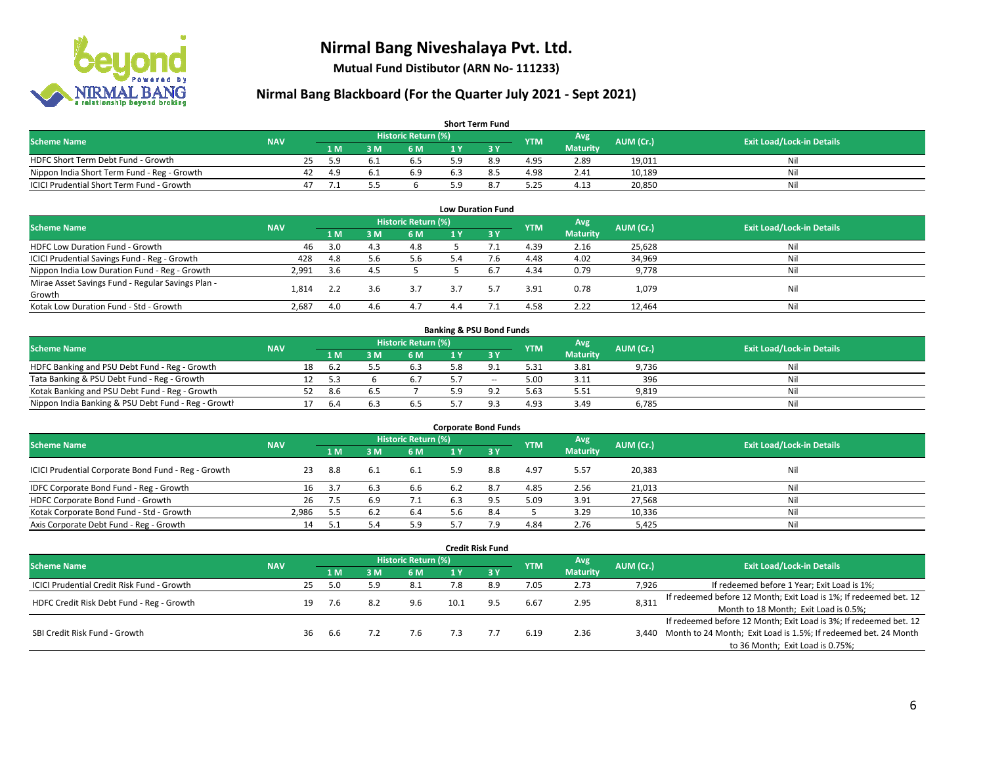

**Mutual Fund Distibutor (ARN No- 111233)**

| <b>Short Term Fund</b>                           |            |    |      |     |                     |   |     |            |                 |           |                                  |  |  |  |
|--------------------------------------------------|------------|----|------|-----|---------------------|---|-----|------------|-----------------|-----------|----------------------------------|--|--|--|
| <b>Scheme Name</b>                               | <b>NAV</b> |    |      |     | Historic Return (%) |   |     | <b>YTM</b> | Avg \           | AUM (Cr.) | <b>Exit Load/Lock-in Details</b> |  |  |  |
|                                                  |            |    | 1 M. | 3 M | 6 M                 |   |     |            | <b>Maturity</b> |           |                                  |  |  |  |
| HDFC Short Term Debt Fund - Growth               |            | 25 | 5.9  |     | 6.5                 |   | 8.9 | 4.95       | 2.89            | 19.011    | Nil                              |  |  |  |
| Nippon India Short Term Fund - Reg - Growth      |            | 42 | 4.9  |     | 6.9                 | b |     | 4.98       | 2.41            | 10.189    | Nil                              |  |  |  |
| <b>ICICI Prudential Short Term Fund - Growth</b> |            | 47 |      |     |                     |   |     | 5.25       | 4.13            | 20,850    | Nil                              |  |  |  |

| <b>Low Duration Fund</b>                          |            |     |     |                            |     |           |            |                 |           |                                  |  |  |  |
|---------------------------------------------------|------------|-----|-----|----------------------------|-----|-----------|------------|-----------------|-----------|----------------------------------|--|--|--|
| <b>Scheme Name</b>                                | <b>NAV</b> |     |     | <b>Historic Return (%)</b> |     |           | <b>YTM</b> | Avg             | AUM (Cr.) | <b>Exit Load/Lock-in Details</b> |  |  |  |
|                                                   |            | 1 M | ៵៳  | 6 M                        |     | <b>3Y</b> |            | <b>Maturity</b> |           |                                  |  |  |  |
| HDFC Low Duration Fund - Growth                   | 46         | 3.0 | 4.3 | 4.8                        |     |           | 4.39       | 2.16            | 25,628    | Nil                              |  |  |  |
| ICICI Prudential Savings Fund - Reg - Growth      | 428        | 4.8 | 5.6 | 5.6                        | 5.4 | 7.6       | 4.48       | 4.02            | 34,969    | Nil                              |  |  |  |
| Nippon India Low Duration Fund - Reg - Growth     | 2,991      | 3.6 | 4.5 |                            |     | h.1       | 4.34       | 0.79            | 9,778     | Nil                              |  |  |  |
| Mirae Asset Savings Fund - Regular Savings Plan - | 1.814      |     | 3.6 | 3.7                        | 3.7 |           | 3.91       | 0.78            |           | Nil                              |  |  |  |
| Growth                                            |            | 2.2 |     |                            |     |           |            |                 | 1,079     |                                  |  |  |  |
| Kotak Low Duration Fund - Std - Growth            | 2,687      | 4.0 | 4.6 | 4.7                        | 4.4 |           | 4.58       | 2.22            | 12.464    | Nil                              |  |  |  |

| <b>Banking &amp; PSU Bond Funds</b>                 |            |    |      |     |                     |  |       |            |                 |           |                                  |  |  |  |
|-----------------------------------------------------|------------|----|------|-----|---------------------|--|-------|------------|-----------------|-----------|----------------------------------|--|--|--|
| <b>Scheme Name</b>                                  | <b>NAV</b> |    |      |     | Historic Return (%) |  |       | <b>YTM</b> | Avg             | AUM (Cr.) | <b>Exit Load/Lock-in Details</b> |  |  |  |
|                                                     |            |    | 4 M. | ያ M | 6 M                 |  |       |            | <b>Maturity</b> |           |                                  |  |  |  |
| HDFC Banking and PSU Debt Fund - Reg - Growth       |            | 18 | -6.2 |     |                     |  |       | 5.31       | 3.81            | 9,736     | Nil                              |  |  |  |
| Tata Banking & PSU Debt Fund - Reg - Growth         |            |    | -5.3 |     |                     |  | $- -$ | 5.00       | 3.11            | 396       | Nil                              |  |  |  |
| Kotak Banking and PSU Debt Fund - Reg - Growth      |            |    | 8.6  |     |                     |  |       | 5.63       | 5.51            | 9,819     | Nil                              |  |  |  |
| Nippon India Banking & PSU Debt Fund - Reg - Growth |            |    | -6.4 |     | 6.5                 |  |       | 4.93       | 3.49            | 6.785     | Nil                              |  |  |  |

| <b>Corporate Bond Funds</b>                         |            |     |     |                     |     |      |            |                 |           |                                  |  |
|-----------------------------------------------------|------------|-----|-----|---------------------|-----|------|------------|-----------------|-----------|----------------------------------|--|
| <b>Scheme Name</b>                                  | <b>NAV</b> |     |     | Historic Return (%) |     |      | <b>YTM</b> | Avg             | AUM (Cr.) | <b>Exit Load/Lock-in Details</b> |  |
|                                                     |            | 1 M | з м | 6 M                 |     | -3 Y |            | <b>Maturity</b> |           |                                  |  |
| ICICI Prudential Corporate Bond Fund - Reg - Growth | 23         | 8.8 |     | 6.1                 | 5.9 | 8.8  | 4.97       | 5.57            | 20,383    | Nil                              |  |
| IDFC Corporate Bond Fund - Reg - Growth             |            | 3.7 | 6.3 | 6.6                 | 6.2 | 8.7  | 4.85       | 2.56            | 21,013    | Nil                              |  |
| HDFC Corporate Bond Fund - Growth                   | 26         | 7.5 | 6.9 | 7.1                 |     |      | 5.09       | 3.91            | 27,568    | Nil                              |  |
| Kotak Corporate Bond Fund - Std - Growth            | 2.986      | 5.5 |     | 6.4                 | 5.6 |      |            | 3.29            | 10,336    | Nil                              |  |
| Axis Corporate Debt Fund - Reg - Growth             | 14         |     |     | 5.9                 |     | 7.9  | 4.84       | 2.76            | 5,425     | Nil                              |  |

|                                                   |            |                            |      |     |     |      | <b>Credit Risk Fund</b> |            |                 |           |                                                                       |
|---------------------------------------------------|------------|----------------------------|------|-----|-----|------|-------------------------|------------|-----------------|-----------|-----------------------------------------------------------------------|
| <b>Scheme Name</b>                                | <b>NAV</b> | <b>Historic Return (%)</b> |      |     |     |      |                         |            | Avg             | AUM (Cr.) | <b>Exit Load/Lock-in Details</b>                                      |
|                                                   |            |                            | 1 M  | 3 M | 6 M | 1 Y  | $Z_3$ Y                 | <b>YTM</b> | <b>Maturity</b> |           |                                                                       |
| <b>ICICI Prudential Credit Risk Fund - Growth</b> |            | 25                         | 5.0  | 5.9 | 8.1 | 7.8  | 8.9                     | 7.05       | 2.73            | 7,926     | If redeemed before 1 Year; Exit Load is 1%;                           |
| HDFC Credit Risk Debt Fund - Reg - Growth         |            | 19                         | 7.6  | 8.2 | 9.6 | 10.1 | 9.5                     | 6.67       | 2.95            | 8,311     | If redeemed before 12 Month; Exit Load is 1%; If redeemed bet. 12     |
|                                                   |            |                            |      |     |     |      |                         |            |                 |           | Month to 18 Month; Exit Load is 0.5%;                                 |
|                                                   |            |                            |      |     |     |      |                         |            |                 |           | If redeemed before 12 Month; Exit Load is 3%; If redeemed bet. 12     |
| SBI Credit Risk Fund - Growth                     |            | 36                         | -6.6 |     | 7.6 |      |                         | 6.19       | 2.36            |           | 3,440 Month to 24 Month; Exit Load is 1.5%; If redeemed bet. 24 Month |
|                                                   |            |                            |      |     |     |      |                         |            |                 |           | to 36 Month; Exit Load is 0.75%;                                      |